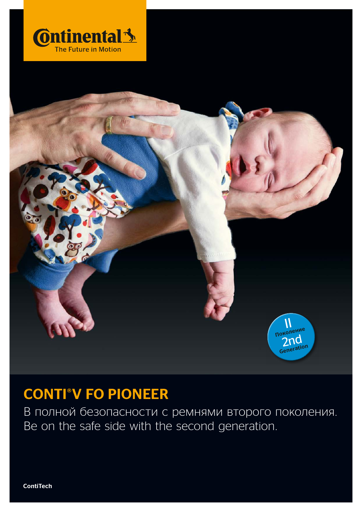



## **CONTI°V FO PIONEER**

В полной безопасности с ремнями второго поколения. Be on the safe side with the second generation.